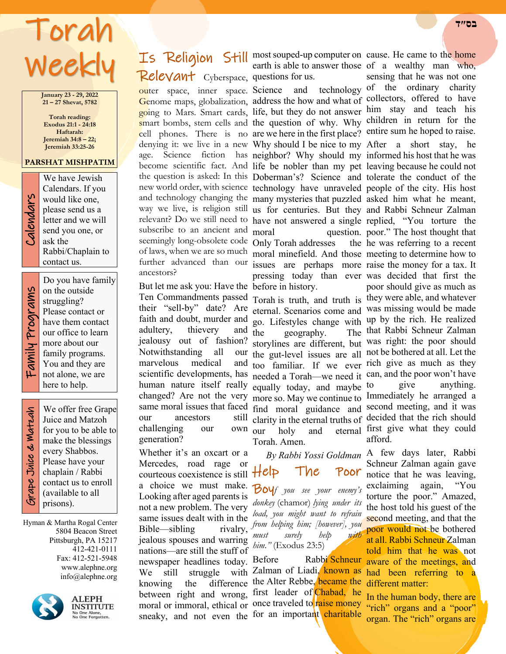## Torah Week

**January 23 - 29, 2022 21 – 27 Shevat, 5782**

**Torah reading: Exodus 21:1 - 24:18 Haftarah: Jeremiah 34:8 – 22; Jeremiah 33:25-26**

#### **PARSHAT MISHPATIM**



We have Jewish<br>Calendars. If you<br>would like one,<br>please send us a<br>letter and we will<br>send you one, or<br>ask the Calendars. If you would like one, please send us a letter and we will send you one, or ask the Rabbi/Chaplain to contact us.

Do you have family

Family Programs Programs Family

on the outside struggling? Please contact or have them contact our office to learn more about our family programs. You and they are not alone, we are here to help.

 Grape Juice & Matzah ape Juice & Watzah

We offer free Grape Juice and Matzoh for you to be able to make the blessings every Shabbos. Please have your chaplain / Rabbi contact us to enroll (available to all prisons).

Hyman & Martha Rogal Center 5804 Beacon Street Pittsburgh, PA 15217 412-421-0111 Fax: 412-521-5948 www.alephne.org info@alephne.org



**ALEPH INSTITUTE** No One Alone,<br>No One Forgotten.

# Relevant Cyberspace, questions for us.

outer space, inner space. Science and technology of the ordinary charity subscribe to an ancient and moral ancestors?

But let me ask you: Have the before in history. faith and doubt, murder and adultery, thievery and  $\tilde{t}$ jealousy out of fashion? Notwithstanding all marvelous medical our ancestors challenging our own our generation?

Whether it's an oxcart or a Mercedes, road rage or a choice we must make. Looking after aged parents is same issues dealt with in the Bible—sibling rivalry, jealous spouses and warring nations—are still the stuff of newspaper headlines today. We still struggle knowing the difference sneaky, and not even the for an important charitable

**Is Religion Still most souped-up computer on cause. He came to the home** earth is able to answer those of a wealthy man who,

Genome maps, globalization, address the how and what of collectors, offered to have going to Mars. Smart cards, life, but they do not answer him stay and teach his smart bombs, stem cells and the question of why. Why children in return for the cell phones. There is no are we here in the first place? entire sum he hoped to raise. denying it: we live in a new Why should I be nice to my After a short stay, he age. Science fiction has neighbor? Why should my informed his host that he was become scientific fact. And life be nobler than my pet leaving because he could not the question is asked: In this Doberman's? Science and tolerate the conduct of the new world order, with science technology have unraveled people of the city. His host and technology changing the many mysteries that puzzled asked him what he meant, way we live, is religion still us for centuries. But they and Rabbi Schneur Zalman relevant? Do we still need to have not answered a single replied, "You torture the seemingly long-obsolete code Only Torah addresses the of laws, when we are so much moral minefield. And those meeting to determine how to further advanced than our issues are perhaps more raise the money for a tax. It moral question. poor." The host thought that pressing today than ever was decided that first the

their "sell-by" date? Are eternal. Scenarios come and was missing would be made scientific developments, has needed a Torah—we need it can, and the poor won't have human nature itself really equally today, and maybe changed? Are not the very more so. May we continue to Immediately he arranged a same moral issues that faced find moral guidance and second meeting, and it was go. Lifestyles change with up by the rich. He realized the geography. The storylines are different, but was right: the poor should the gut-level issues are all not be bothered at all. Let the too familiar. If we ever rich give as much as they clarity in the eternal truths of decided that the rich should our holy and eternal first give what they could Torah. Amen.

courteous coexistence is still  $HeI$  The Poor not a new problem. The very *donkey* (chamor) *lying under its By Rabbi Yossi Goldman* Boy*f you see your enemy's load, you might want to refrain from helping him; [however], you must surely help with him."* (Exodus 23:5)

between right and wrong, first leader of Chabad, he moral or immoral, ethical or once traveled to raise money Rabbi Schneur with Zalman of Liadi, known as difference the Alter Rebbe, became the

sensing that he was not one

Ten Commandments passed Torah is truth, and truth is they were able, and whatever he was referring to a recent poor should give as much as The that Rabbi Schneur Zalman to give anything. afford.

> A few days later, Rabbi Schneur Zalman again gave notice that he was leaving, exclaiming again, "You torture the poor." Amazed, the host told his guest of the second meeting, and that the poor would not be bothered at all. Rabbi Schneur Zalman told him that he was not aware of the meetings, and had been referring to a different matter:

In the human body, there are "rich" organs and a "poor" organ. The "rich" organs are